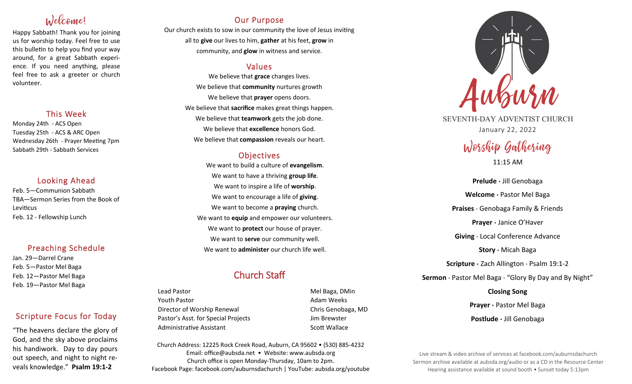# Welcome!

Happy Sabbath! Thank you for joining us for worship today. Feel free to use this bulletin to help you find your way around, for a great Sabbath experience. If you need anything, please feel free to ask a greeter or church volunteer.

# This Week

Monday 24th - ACS Open Tuesday 25th - ACS & ARC Open Wednesday 26th - Prayer Meeting 7pm Sabbath 29th - Sabbath Services

# Looking Ahead

Feb. 5—Communion Sabbath TBA—Sermon Series from the Book of Leviticus Feb. 12 - Fellowship Lunch

# Preaching Schedule

Jan. 29—Darrel Crane Feb. 5—Pastor Mel Baga Feb. 12—Pastor Mel Baga Feb. 19—Pastor Mel Baga

# Scripture Focus for Today

"The heavens declare the glory of God, and the sky above proclaims his handiwork. Day to day pours out speech, and night to night reveals knowledge." **Psalm 19:1-2**

# Our Purpose

Our church exists to sow in our community the love of Jesus inviting all to **give** our lives to him, **gather** at his feet, **grow** in community, and **glow** in witness and service.

# Values

We believe that **grace** changes lives. We believe that **community** nurtures growth We believe that **prayer** opens doors. We believe that **sacrifice** makes great things happen. We believe that **teamwork** gets the job done. We believe that **excellence** honors God. We believe that **compassion** reveals our heart.

# **Objectives**

We want to build a culture of **evangelism**. We want to have a thriving **group life**. We want to inspire a life of **worship**. We want to encourage a life of **giving**. We want to become a **praying** church. We want to **equip** and empower our volunteers. We want to **protect** our house of prayer. We want to **serve** our community well. We want to **administer** our church life well.

# Church Staff

Lead Pastor Nell Baga, DMin Youth Pastor **Adam Weeks Adam Weeks** Director of Worship Renewal Chris Genobaga, MD Pastor's Asst. for Special Projects Fig. 3.1 Jim Brewster Administrative Assistant **Scott Wallace** Scott Wallace

Church Address: 12225 Rock Creek Road, Auburn, CA 95602 • (530) 885-4232 Email: office@aubsda.net • Website: www.aubsda.org Church office is open Monday-Thursday, 10am to 2pm. Facebook Page: facebook.com/auburnsdachurch | YouTube: aubsda.org/youtube



SEVENTH-DAY ADVENTIST CHURCH January 22, 2022

# Worship Gathering

11:15 AM

**Prelude ·** Jill Genobaga **Welcome ·** Pastor Mel Baga **Praises** · Genobaga Family & Friends **Prayer ·** Janice O'Haver **Giving** · Local Conference Advance **Story ·** Micah Baga **Scripture ·** Zach Allington · Psalm 19:1-2 **Sermon** · Pastor Mel Baga · "Glory By Day and By Night" **Closing Song**

> **Prayer ·** Pastor Mel Baga **Postlude ·** Jill Genobaga

Live stream & video archive of services at facebook.com/auburnsdachurch Sermon archive available at aubsda.org/audio or as a CD in the Resource Center Hearing assistance available at sound booth • Sunset today 5:13pm